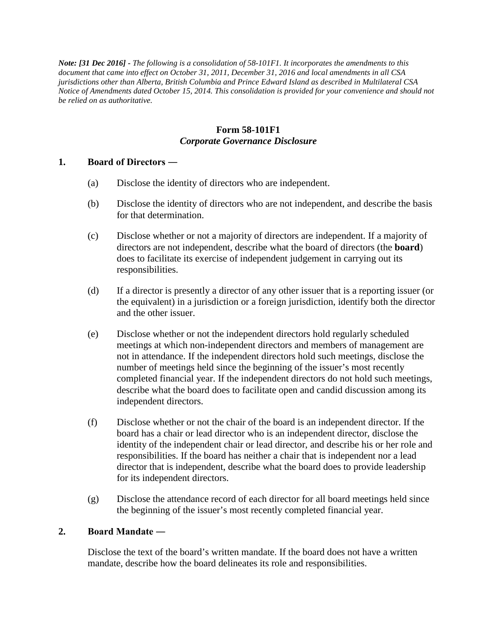*Note: [31 Dec 2016] - The following is a consolidation of 58-101F1. It incorporates the amendments to this document that came into effect on October 31, 2011, December 31, 2016 and local amendments in all CSA jurisdictions other than Alberta, British Columbia and Prince Edward Island as described in Multilateral CSA Notice of Amendments dated October 15, 2014. This consolidation is provided for your convenience and should not be relied on as authoritative.*

## **Form 58-101F1** *Corporate Governance Disclosure*

## **1. Board of Directors ―**

- (a) Disclose the identity of directors who are independent.
- (b) Disclose the identity of directors who are not independent, and describe the basis for that determination.
- (c) Disclose whether or not a majority of directors are independent. If a majority of directors are not independent, describe what the board of directors (the **board**) does to facilitate its exercise of independent judgement in carrying out its responsibilities.
- (d) If a director is presently a director of any other issuer that is a reporting issuer (or the equivalent) in a jurisdiction or a foreign jurisdiction, identify both the director and the other issuer.
- (e) Disclose whether or not the independent directors hold regularly scheduled meetings at which non-independent directors and members of management are not in attendance. If the independent directors hold such meetings, disclose the number of meetings held since the beginning of the issuer's most recently completed financial year. If the independent directors do not hold such meetings, describe what the board does to facilitate open and candid discussion among its independent directors.
- (f) Disclose whether or not the chair of the board is an independent director. If the board has a chair or lead director who is an independent director, disclose the identity of the independent chair or lead director, and describe his or her role and responsibilities. If the board has neither a chair that is independent nor a lead director that is independent, describe what the board does to provide leadership for its independent directors.
- (g) Disclose the attendance record of each director for all board meetings held since the beginning of the issuer's most recently completed financial year.

# **2. Board Mandate ―**

Disclose the text of the board's written mandate. If the board does not have a written mandate, describe how the board delineates its role and responsibilities.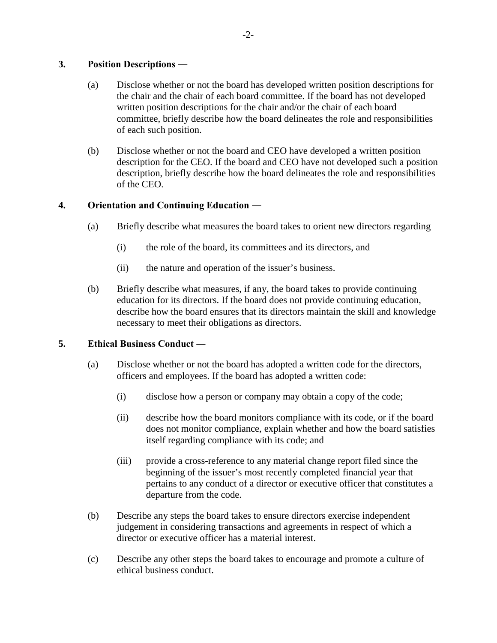## **3. Position Descriptions ―**

- (a) Disclose whether or not the board has developed written position descriptions for the chair and the chair of each board committee. If the board has not developed written position descriptions for the chair and/or the chair of each board committee, briefly describe how the board delineates the role and responsibilities of each such position.
- (b) Disclose whether or not the board and CEO have developed a written position description for the CEO. If the board and CEO have not developed such a position description, briefly describe how the board delineates the role and responsibilities of the CEO.

## **4. Orientation and Continuing Education ―**

- (a) Briefly describe what measures the board takes to orient new directors regarding
	- (i) the role of the board, its committees and its directors, and
	- (ii) the nature and operation of the issuer's business.
- (b) Briefly describe what measures, if any, the board takes to provide continuing education for its directors. If the board does not provide continuing education, describe how the board ensures that its directors maintain the skill and knowledge necessary to meet their obligations as directors.

# **5. Ethical Business Conduct ―**

- (a) Disclose whether or not the board has adopted a written code for the directors, officers and employees. If the board has adopted a written code:
	- (i) disclose how a person or company may obtain a copy of the code;
	- (ii) describe how the board monitors compliance with its code, or if the board does not monitor compliance, explain whether and how the board satisfies itself regarding compliance with its code; and
	- (iii) provide a cross-reference to any material change report filed since the beginning of the issuer's most recently completed financial year that pertains to any conduct of a director or executive officer that constitutes a departure from the code.
- (b) Describe any steps the board takes to ensure directors exercise independent judgement in considering transactions and agreements in respect of which a director or executive officer has a material interest.
- (c) Describe any other steps the board takes to encourage and promote a culture of ethical business conduct.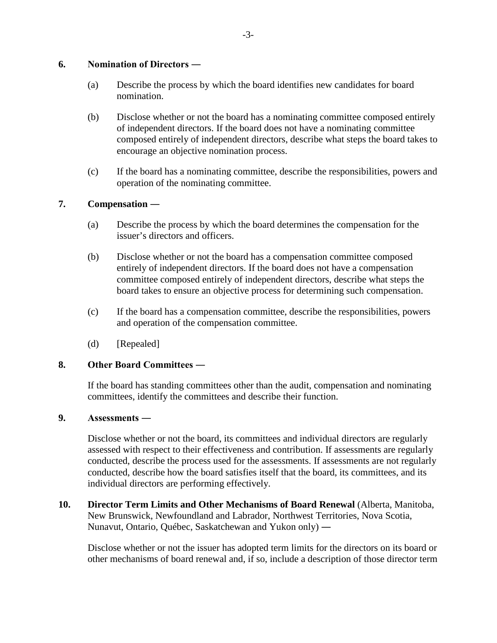### **6. Nomination of Directors ―**

- (a) Describe the process by which the board identifies new candidates for board nomination.
- (b) Disclose whether or not the board has a nominating committee composed entirely of independent directors. If the board does not have a nominating committee composed entirely of independent directors, describe what steps the board takes to encourage an objective nomination process.
- (c) If the board has a nominating committee, describe the responsibilities, powers and operation of the nominating committee.

# **7. Compensation ―**

- (a) Describe the process by which the board determines the compensation for the issuer's directors and officers.
- (b) Disclose whether or not the board has a compensation committee composed entirely of independent directors. If the board does not have a compensation committee composed entirely of independent directors, describe what steps the board takes to ensure an objective process for determining such compensation.
- (c) If the board has a compensation committee, describe the responsibilities, powers and operation of the compensation committee.
- (d) [Repealed]

# **8. Other Board Committees ―**

If the board has standing committees other than the audit, compensation and nominating committees, identify the committees and describe their function.

### **9. Assessments ―**

Disclose whether or not the board, its committees and individual directors are regularly assessed with respect to their effectiveness and contribution. If assessments are regularly conducted, describe the process used for the assessments. If assessments are not regularly conducted, describe how the board satisfies itself that the board, its committees, and its individual directors are performing effectively.

10. **Director Term Limits and Other Mechanisms of Board Renewal (Alberta, Manitoba,** New Brunswick, Newfoundland and Labrador, Northwest Territories, Nova Scotia, Nunavut, Ontario, Québec, Saskatchewan and Yukon only) **―**

Disclose whether or not the issuer has adopted term limits for the directors on its board or other mechanisms of board renewal and, if so, include a description of those director term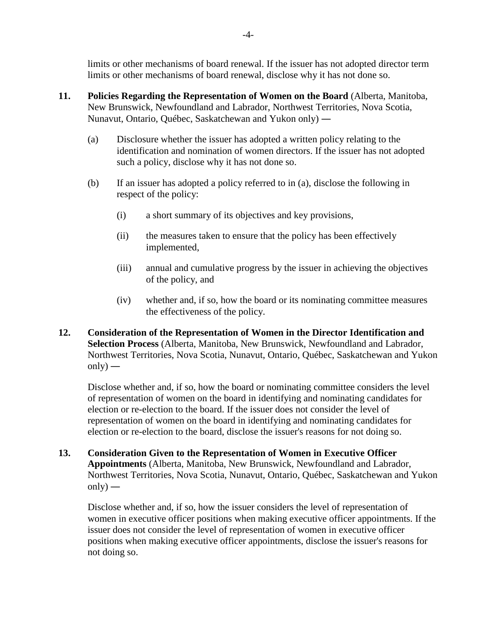limits or other mechanisms of board renewal. If the issuer has not adopted director term limits or other mechanisms of board renewal, disclose why it has not done so.

- **11. Policies Regarding the Representation of Women on the Board** (Alberta, Manitoba, New Brunswick, Newfoundland and Labrador, Northwest Territories, Nova Scotia, Nunavut, Ontario, Québec, Saskatchewan and Yukon only) **―**
	- (a) Disclosure whether the issuer has adopted a written policy relating to the identification and nomination of women directors. If the issuer has not adopted such a policy, disclose why it has not done so.
	- (b) If an issuer has adopted a policy referred to in (a), disclose the following in respect of the policy:
		- (i) a short summary of its objectives and key provisions,
		- (ii) the measures taken to ensure that the policy has been effectively implemented,
		- (iii) annual and cumulative progress by the issuer in achieving the objectives of the policy, and
		- (iv) whether and, if so, how the board or its nominating committee measures the effectiveness of the policy.
- **12. Consideration of the Representation of Women in the Director Identification and Selection Process** (Alberta, Manitoba, New Brunswick, Newfoundland and Labrador, Northwest Territories, Nova Scotia, Nunavut, Ontario, Québec, Saskatchewan and Yukon  $\text{only}$ ) —

Disclose whether and, if so, how the board or nominating committee considers the level of representation of women on the board in identifying and nominating candidates for election or re-election to the board. If the issuer does not consider the level of representation of women on the board in identifying and nominating candidates for election or re-election to the board, disclose the issuer's reasons for not doing so.

**13. Consideration Given to the Representation of Women in Executive Officer Appointments** (Alberta, Manitoba, New Brunswick, Newfoundland and Labrador, Northwest Territories, Nova Scotia, Nunavut, Ontario, Québec, Saskatchewan and Yukon only) **―**

Disclose whether and, if so, how the issuer considers the level of representation of women in executive officer positions when making executive officer appointments. If the issuer does not consider the level of representation of women in executive officer positions when making executive officer appointments, disclose the issuer's reasons for not doing so.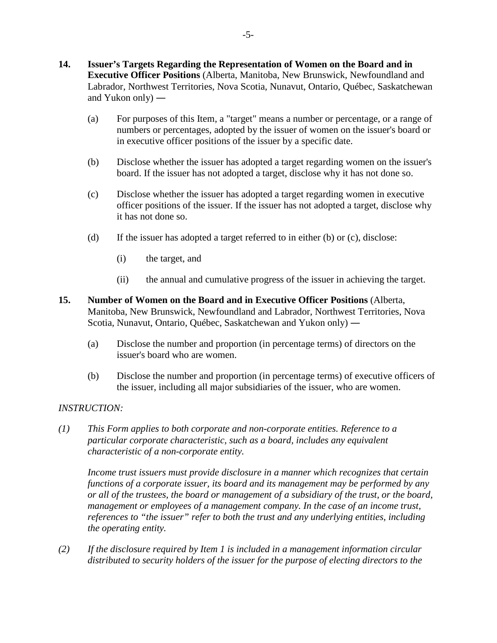- **14. Issuer's Targets Regarding the Representation of Women on the Board and in Executive Officer Positions** (Alberta, Manitoba, New Brunswick, Newfoundland and Labrador, Northwest Territories, Nova Scotia, Nunavut, Ontario, Québec, Saskatchewan and Yukon only) **―**
	- (a) For purposes of this Item, a "target" means a number or percentage, or a range of numbers or percentages, adopted by the issuer of women on the issuer's board or in executive officer positions of the issuer by a specific date.
	- (b) Disclose whether the issuer has adopted a target regarding women on the issuer's board. If the issuer has not adopted a target, disclose why it has not done so.
	- (c) Disclose whether the issuer has adopted a target regarding women in executive officer positions of the issuer. If the issuer has not adopted a target, disclose why it has not done so.
	- (d) If the issuer has adopted a target referred to in either (b) or (c), disclose:
		- (i) the target, and
		- (ii) the annual and cumulative progress of the issuer in achieving the target.
- **15. Number of Women on the Board and in Executive Officer Positions** (Alberta, Manitoba, New Brunswick, Newfoundland and Labrador, Northwest Territories, Nova Scotia, Nunavut, Ontario, Québec, Saskatchewan and Yukon only) **―**
	- (a) Disclose the number and proportion (in percentage terms) of directors on the issuer's board who are women.
	- (b) Disclose the number and proportion (in percentage terms) of executive officers of the issuer, including all major subsidiaries of the issuer, who are women.

### *INSTRUCTION:*

*(1) This Form applies to both corporate and non-corporate entities. Reference to a particular corporate characteristic, such as a board, includes any equivalent characteristic of a non-corporate entity.*

*Income trust issuers must provide disclosure in a manner which recognizes that certain functions of a corporate issuer, its board and its management may be performed by any or all of the trustees, the board or management of a subsidiary of the trust, or the board, management or employees of a management company. In the case of an income trust, references to "the issuer" refer to both the trust and any underlying entities, including the operating entity.*

*(2) If the disclosure required by Item 1 is included in a management information circular distributed to security holders of the issuer for the purpose of electing directors to the*